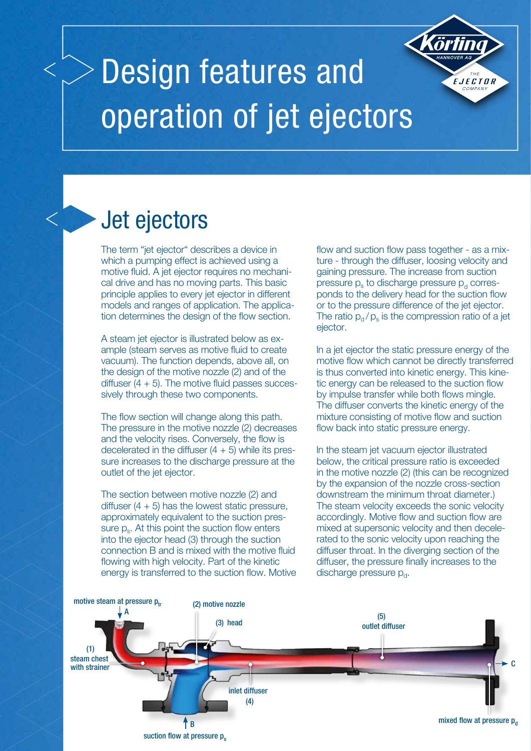# Design features and operation of jet ejectors

## Jet ejectors

The term "jet ejector" describes a device in which a pumping effect is achieved using a motive fluid. A jet ejector requires no mechanical drive and has no moving parts. This basic principle applies to every jet ejector in different models and ranges of application. The application determines the design of the flow section.

A steam jet ejector is illustrated below as example (steam serves as motive fluid to create vacuum). The function depends, above all, on the design of the motive nozzle (2) and of the diffuser  $(4 + 5)$ . The motive fluid passes successively through these two components.

The flow section will change along this path. The pressure in the motive nozzle (2) decreases and the velocity rises. Conversely, the flow is decelerated in the diffuser  $(4 + 5)$  while its pressure increases to the discharge pressure at the outlet of the jet ejector.

The section between motive nozzle (2) and diffuser  $(4 + 5)$  has the lowest static pressure, approximately equivalent to the suction pressure p<sub>s</sub>. At this point the suction flow enters into the ejector head (3) through the suction connection B and is mixed with the motive fluid flowing with high velocity. Part of the kinetic energy is transferred to the suction flow. Motive

flow and suction flow pass together - as a mixture - through the diffuser, loosing velocity and gaining pressure. The increase from suction pressure  $p_s$  to discharge pressure  $p_d$  corresponds to the delivery head for the suction flow or to the pressure difference of the jet ejector. The ratio  $p_d / p_s$  is the compression ratio of a jet ejector.

EJECTOR

ln a jet ejector the static pressure energy of the motive flow which cannot be directly transferred is thus converted into kinetic energy. This kinetic energy can be released to the suction flow by impulse transfer while both flows mingle. The diffuser converts the kinetic energy of the mixture consisting of motive flow and suction flow back into static pressure energy.

ln the steam jet vacuum ejector illustrated below, the critical pressure ratio is exceeded in the motive nozzle (2) (this can be recognized by the expansion of the nozzle cross-section downstream the minimum throat diameter.) The steam velocity exceeds the sonic velocity accordingly. Motive flow and suction flow are mixed at supersonic velocity and then decelerated to the sonic velocity upon reaching the diffuser throat. ln the diverging section of the diffuser, the pressure finally increases to the discharge pressure  $p_d$ .